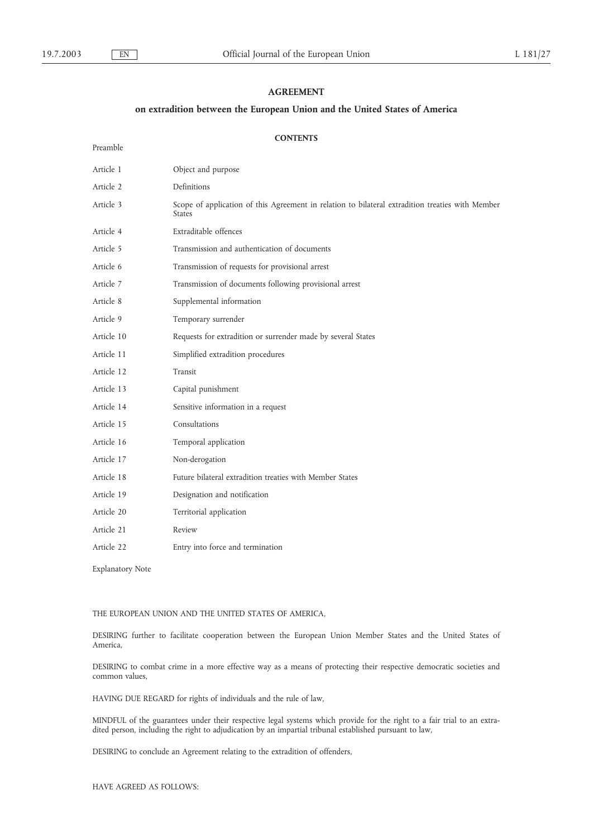Preamble

# **AGREEMENT**

# **on extradition between the European Union and the United States of America**

# **CONTENTS**

| Article 1  | Object and purpose                                                                                                |
|------------|-------------------------------------------------------------------------------------------------------------------|
| Article 2  | Definitions                                                                                                       |
| Article 3  | Scope of application of this Agreement in relation to bilateral extradition treaties with Member<br><b>States</b> |
| Article 4  | Extraditable offences                                                                                             |
| Article 5  | Transmission and authentication of documents                                                                      |
| Article 6  | Transmission of requests for provisional arrest                                                                   |
| Article 7  | Transmission of documents following provisional arrest                                                            |
| Article 8  | Supplemental information                                                                                          |
| Article 9  | Temporary surrender                                                                                               |
| Article 10 | Requests for extradition or surrender made by several States                                                      |
| Article 11 | Simplified extradition procedures                                                                                 |
| Article 12 | Transit                                                                                                           |
| Article 13 | Capital punishment                                                                                                |
| Article 14 | Sensitive information in a request                                                                                |
| Article 15 | Consultations                                                                                                     |
| Article 16 | Temporal application                                                                                              |
| Article 17 | Non-derogation                                                                                                    |
| Article 18 | Future bilateral extradition treaties with Member States                                                          |
| Article 19 | Designation and notification                                                                                      |
| Article 20 | Territorial application                                                                                           |
| Article 21 | Review                                                                                                            |
| Article 22 | Entry into force and termination                                                                                  |
|            |                                                                                                                   |

Explanatory Note

## THE EUROPEAN UNION AND THE UNITED STATES OF AMERICA,

DESIRING further to facilitate cooperation between the European Union Member States and the United States of America,

DESIRING to combat crime in a more effective way as a means of protecting their respective democratic societies and common values,

HAVING DUE REGARD for rights of individuals and the rule of law,

MINDFUL of the guarantees under their respective legal systems which provide for the right to a fair trial to an extradited person, including the right to adjudication by an impartial tribunal established pursuant to law,

DESIRING to conclude an Agreement relating to the extradition of offenders,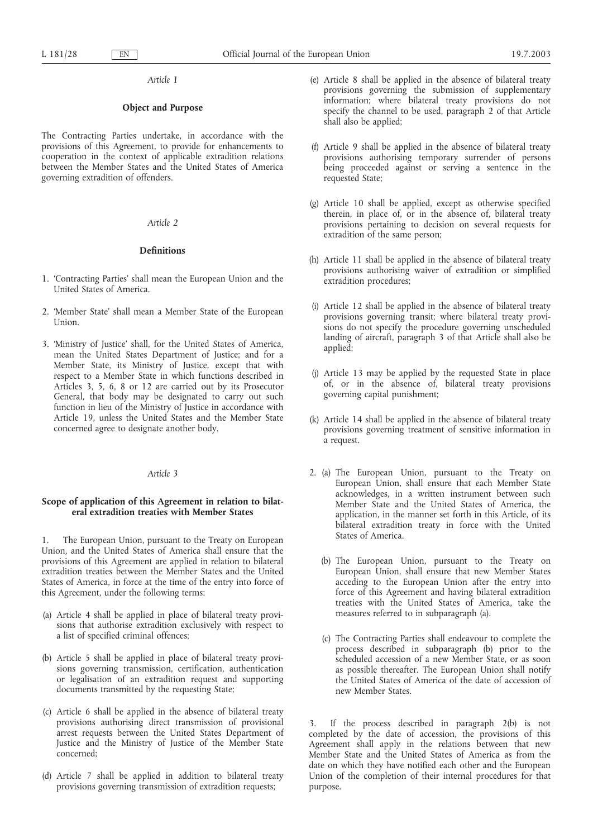## **Object and Purpose**

The Contracting Parties undertake, in accordance with the provisions of this Agreement, to provide for enhancements to cooperation in the context of applicable extradition relations between the Member States and the United States of America governing extradition of offenders.

### *Article 2*

### **Definitions**

- 1. 'Contracting Parties' shall mean the European Union and the United States of America.
- 2. 'Member State' shall mean a Member State of the European Union.
- 3. 'Ministry of Justice' shall, for the United States of America, mean the United States Department of Justice; and for a Member State, its Ministry of Justice, except that with respect to a Member State in which functions described in Articles 3, 5, 6, 8 or 12 are carried out by its Prosecutor General, that body may be designated to carry out such function in lieu of the Ministry of Justice in accordance with Article 19, unless the United States and the Member State concerned agree to designate another body.

## *Article 3*

## **Scope of application of this Agreement in relation to bilateral extradition treaties with Member States**

The European Union, pursuant to the Treaty on European Union, and the United States of America shall ensure that the provisions of this Agreement are applied in relation to bilateral extradition treaties between the Member States and the United States of America, in force at the time of the entry into force of this Agreement, under the following terms:

- (a) Article 4 shall be applied in place of bilateral treaty provisions that authorise extradition exclusively with respect to a list of specified criminal offences;
- (b) Article 5 shall be applied in place of bilateral treaty provisions governing transmission, certification, authentication or legalisation of an extradition request and supporting documents transmitted by the requesting State;
- (c) Article 6 shall be applied in the absence of bilateral treaty provisions authorising direct transmission of provisional arrest requests between the United States Department of Justice and the Ministry of Justice of the Member State concerned;
- (d) Article 7 shall be applied in addition to bilateral treaty provisions governing transmission of extradition requests;
- (e) Article 8 shall be applied in the absence of bilateral treaty provisions governing the submission of supplementary information; where bilateral treaty provisions do not specify the channel to be used, paragraph 2 of that Article shall also be applied;
- (f) Article 9 shall be applied in the absence of bilateral treaty provisions authorising temporary surrender of persons being proceeded against or serving a sentence in the requested State;
- (g) Article 10 shall be applied, except as otherwise specified therein, in place of, or in the absence of, bilateral treaty provisions pertaining to decision on several requests for extradition of the same person;
- (h) Article 11 shall be applied in the absence of bilateral treaty provisions authorising waiver of extradition or simplified extradition procedures;
- (i) Article 12 shall be applied in the absence of bilateral treaty provisions governing transit; where bilateral treaty provisions do not specify the procedure governing unscheduled landing of aircraft, paragraph 3 of that Article shall also be applied;
- (j) Article 13 may be applied by the requested State in place of, or in the absence of, bilateral treaty provisions governing capital punishment;
- (k) Article 14 shall be applied in the absence of bilateral treaty provisions governing treatment of sensitive information in a request.
- 2. (a) The European Union, pursuant to the Treaty on European Union, shall ensure that each Member State acknowledges, in a written instrument between such Member State and the United States of America, the application, in the manner set forth in this Article, of its bilateral extradition treaty in force with the United States of America.
	- (b) The European Union, pursuant to the Treaty on European Union, shall ensure that new Member States acceding to the European Union after the entry into force of this Agreement and having bilateral extradition treaties with the United States of America, take the measures referred to in subparagraph (a).
	- (c) The Contracting Parties shall endeavour to complete the process described in subparagraph (b) prior to the scheduled accession of a new Member State, or as soon as possible thereafter. The European Union shall notify the United States of America of the date of accession of new Member States.

3. If the process described in paragraph 2(b) is not completed by the date of accession, the provisions of this Agreement shall apply in the relations between that new Member State and the United States of America as from the date on which they have notified each other and the European Union of the completion of their internal procedures for that purpose.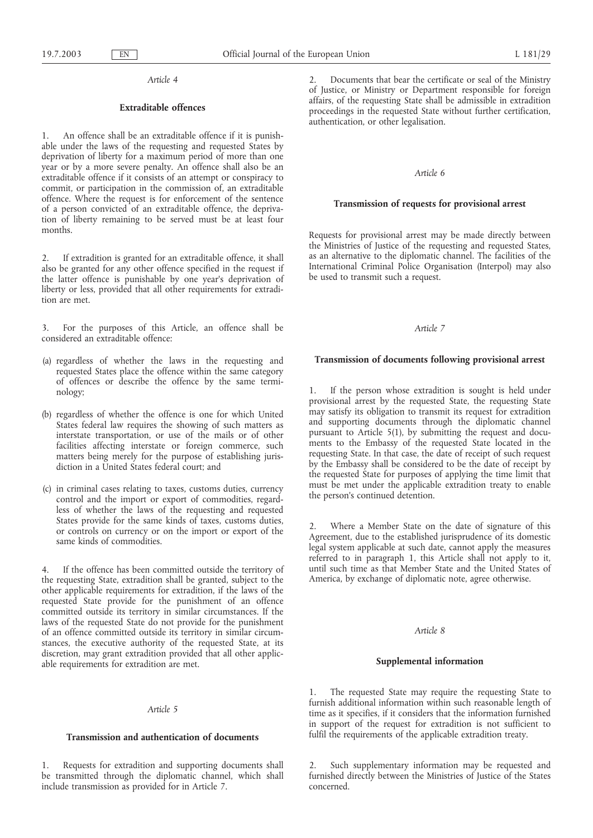# **Extraditable offences**

1. An offence shall be an extraditable offence if it is punishable under the laws of the requesting and requested States by deprivation of liberty for a maximum period of more than one year or by a more severe penalty. An offence shall also be an extraditable offence if it consists of an attempt or conspiracy to commit, or participation in the commission of, an extraditable offence. Where the request is for enforcement of the sentence of a person convicted of an extraditable offence, the deprivation of liberty remaining to be served must be at least four months.

2. If extradition is granted for an extraditable offence, it shall also be granted for any other offence specified in the request if the latter offence is punishable by one year's deprivation of liberty or less, provided that all other requirements for extradition are met.

3. For the purposes of this Article, an offence shall be considered an extraditable offence:

- (a) regardless of whether the laws in the requesting and requested States place the offence within the same category of offences or describe the offence by the same terminology;
- (b) regardless of whether the offence is one for which United States federal law requires the showing of such matters as interstate transportation, or use of the mails or of other facilities affecting interstate or foreign commerce, such matters being merely for the purpose of establishing jurisdiction in a United States federal court; and
- (c) in criminal cases relating to taxes, customs duties, currency control and the import or export of commodities, regardless of whether the laws of the requesting and requested States provide for the same kinds of taxes, customs duties, or controls on currency or on the import or export of the same kinds of commodities.

4. If the offence has been committed outside the territory of the requesting State, extradition shall be granted, subject to the other applicable requirements for extradition, if the laws of the requested State provide for the punishment of an offence committed outside its territory in similar circumstances. If the laws of the requested State do not provide for the punishment of an offence committed outside its territory in similar circumstances, the executive authority of the requested State, at its discretion, may grant extradition provided that all other applicable requirements for extradition are met.

#### *Article 5*

### **Transmission and authentication of documents**

1. Requests for extradition and supporting documents shall be transmitted through the diplomatic channel, which shall include transmission as provided for in Article 7.

2. Documents that bear the certificate or seal of the Ministry of Justice, or Ministry or Department responsible for foreign affairs, of the requesting State shall be admissible in extradition proceedings in the requested State without further certification, authentication, or other legalisation.

### *Article 6*

### **Transmission of requests for provisional arrest**

Requests for provisional arrest may be made directly between the Ministries of Justice of the requesting and requested States, as an alternative to the diplomatic channel. The facilities of the International Criminal Police Organisation (Interpol) may also be used to transmit such a request.

#### *Article 7*

### **Transmission of documents following provisional arrest**

If the person whose extradition is sought is held under provisional arrest by the requested State, the requesting State may satisfy its obligation to transmit its request for extradition and supporting documents through the diplomatic channel pursuant to Article 5(1), by submitting the request and documents to the Embassy of the requested State located in the requesting State. In that case, the date of receipt of such request by the Embassy shall be considered to be the date of receipt by the requested State for purposes of applying the time limit that must be met under the applicable extradition treaty to enable the person's continued detention.

2. Where a Member State on the date of signature of this Agreement, due to the established jurisprudence of its domestic legal system applicable at such date, cannot apply the measures referred to in paragraph 1, this Article shall not apply to it, until such time as that Member State and the United States of America, by exchange of diplomatic note, agree otherwise.

#### *Article 8*

### **Supplemental information**

1. The requested State may require the requesting State to furnish additional information within such reasonable length of time as it specifies, if it considers that the information furnished in support of the request for extradition is not sufficient to fulfil the requirements of the applicable extradition treaty.

2. Such supplementary information may be requested and furnished directly between the Ministries of Justice of the States concerned.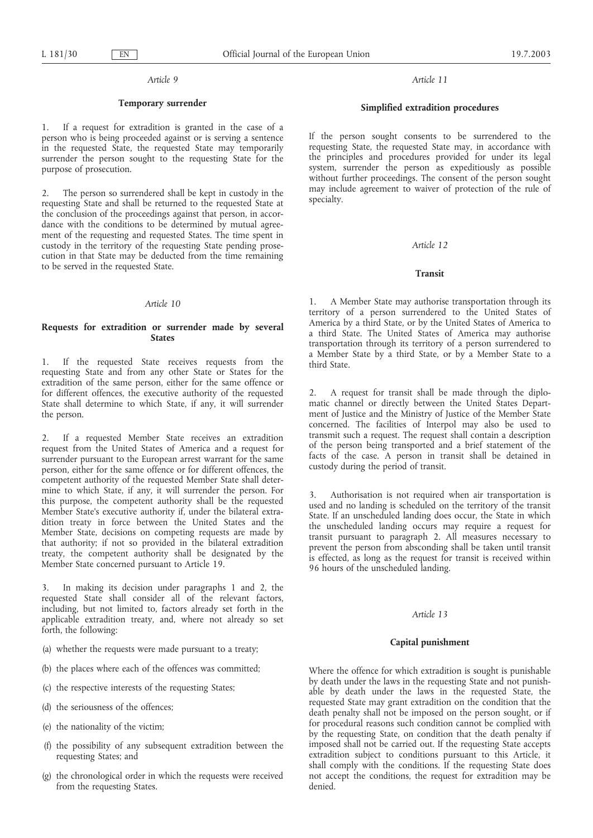# **Temporary surrender**

If a request for extradition is granted in the case of a person who is being proceeded against or is serving a sentence in the requested State, the requested State may temporarily surrender the person sought to the requesting State for the purpose of prosecution.

2. The person so surrendered shall be kept in custody in the requesting State and shall be returned to the requested State at the conclusion of the proceedings against that person, in accordance with the conditions to be determined by mutual agreement of the requesting and requested States. The time spent in custody in the territory of the requesting State pending prosecution in that State may be deducted from the time remaining to be served in the requested State.

### *Article 10*

## **Requests for extradition or surrender made by several States**

1. If the requested State receives requests from the requesting State and from any other State or States for the extradition of the same person, either for the same offence or for different offences, the executive authority of the requested State shall determine to which State, if any, it will surrender the person.

2. If a requested Member State receives an extradition request from the United States of America and a request for surrender pursuant to the European arrest warrant for the same person, either for the same offence or for different offences, the competent authority of the requested Member State shall determine to which State, if any, it will surrender the person. For this purpose, the competent authority shall be the requested Member State's executive authority if, under the bilateral extradition treaty in force between the United States and the Member State, decisions on competing requests are made by that authority; if not so provided in the bilateral extradition treaty, the competent authority shall be designated by the Member State concerned pursuant to Article 19.

3. In making its decision under paragraphs 1 and 2, the requested State shall consider all of the relevant factors, including, but not limited to, factors already set forth in the applicable extradition treaty, and, where not already so set forth, the following:

- (a) whether the requests were made pursuant to a treaty;
- (b) the places where each of the offences was committed;
- (c) the respective interests of the requesting States;
- (d) the seriousness of the offences;
- (e) the nationality of the victim;
- (f) the possibility of any subsequent extradition between the requesting States; and
- (g) the chronological order in which the requests were received from the requesting States.

*Article 11*

## **Simplified extradition procedures**

If the person sought consents to be surrendered to the requesting State, the requested State may, in accordance with the principles and procedures provided for under its legal system, surrender the person as expeditiously as possible without further proceedings. The consent of the person sought may include agreement to waiver of protection of the rule of specialty.

### *Article 12*

## **Transit**

1. A Member State may authorise transportation through its territory of a person surrendered to the United States of America by a third State, or by the United States of America to a third State. The United States of America may authorise transportation through its territory of a person surrendered to a Member State by a third State, or by a Member State to a third State.

2. A request for transit shall be made through the diplomatic channel or directly between the United States Department of Justice and the Ministry of Justice of the Member State concerned. The facilities of Interpol may also be used to transmit such a request. The request shall contain a description of the person being transported and a brief statement of the facts of the case. A person in transit shall be detained in custody during the period of transit.

3. Authorisation is not required when air transportation is used and no landing is scheduled on the territory of the transit State. If an unscheduled landing does occur, the State in which the unscheduled landing occurs may require a request for transit pursuant to paragraph 2. All measures necessary to prevent the person from absconding shall be taken until transit is effected, as long as the request for transit is received within 96 hours of the unscheduled landing.

## *Article 13*

## **Capital punishment**

Where the offence for which extradition is sought is punishable by death under the laws in the requesting State and not punishable by death under the laws in the requested State, the requested State may grant extradition on the condition that the death penalty shall not be imposed on the person sought, or if for procedural reasons such condition cannot be complied with by the requesting State, on condition that the death penalty if imposed shall not be carried out. If the requesting State accepts extradition subject to conditions pursuant to this Article, it shall comply with the conditions. If the requesting State does not accept the conditions, the request for extradition may be denied.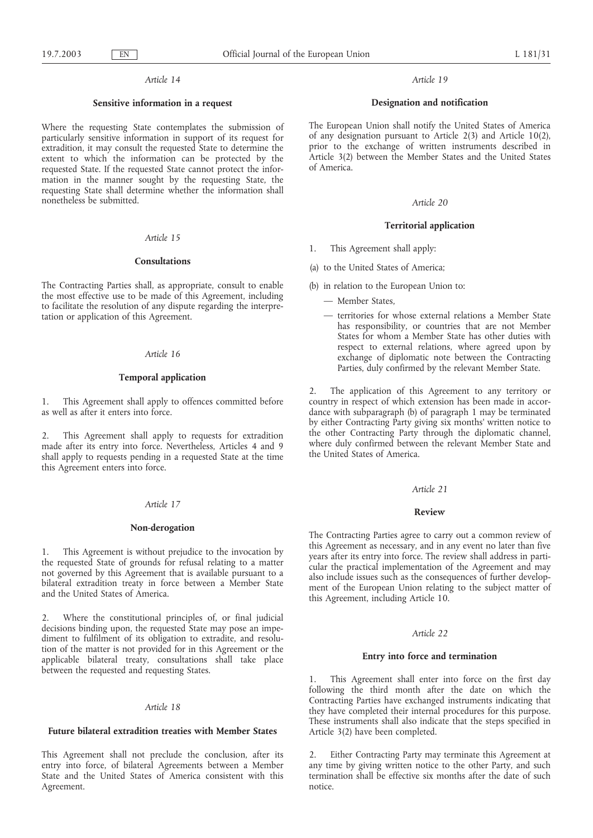# **Sensitive information in a request**

Where the requesting State contemplates the submission of particularly sensitive information in support of its request for extradition, it may consult the requested State to determine the extent to which the information can be protected by the requested State. If the requested State cannot protect the information in the manner sought by the requesting State, the requesting State shall determine whether the information shall nonetheless be submitted.

## *Article 15*

### **Consultations**

The Contracting Parties shall, as appropriate, consult to enable the most effective use to be made of this Agreement, including to facilitate the resolution of any dispute regarding the interpretation or application of this Agreement.

# *Article 16*

### **Temporal application**

1. This Agreement shall apply to offences committed before as well as after it enters into force.

2. This Agreement shall apply to requests for extradition made after its entry into force. Nevertheless, Articles 4 and 9 shall apply to requests pending in a requested State at the time this Agreement enters into force.

### *Article 17*

### **Non-derogation**

1. This Agreement is without prejudice to the invocation by the requested State of grounds for refusal relating to a matter not governed by this Agreement that is available pursuant to a bilateral extradition treaty in force between a Member State and the United States of America.

2. Where the constitutional principles of, or final judicial decisions binding upon, the requested State may pose an impediment to fulfilment of its obligation to extradite, and resolution of the matter is not provided for in this Agreement or the applicable bilateral treaty, consultations shall take place between the requested and requesting States.

#### *Article 18*

### **Future bilateral extradition treaties with Member States**

This Agreement shall not preclude the conclusion, after its entry into force, of bilateral Agreements between a Member State and the United States of America consistent with this Agreement.

### *Article 19*

### **Designation and notification**

The European Union shall notify the United States of America of any designation pursuant to Article 2(3) and Article 10(2), prior to the exchange of written instruments described in Article 3(2) between the Member States and the United States of America.

### *Article 20*

## **Territorial application**

- 1. This Agreement shall apply:
- (a) to the United States of America;
- (b) in relation to the European Union to:
	- Member States,
	- territories for whose external relations a Member State has responsibility, or countries that are not Member States for whom a Member State has other duties with respect to external relations, where agreed upon by exchange of diplomatic note between the Contracting Parties, duly confirmed by the relevant Member State.

2. The application of this Agreement to any territory or country in respect of which extension has been made in accordance with subparagraph (b) of paragraph 1 may be terminated by either Contracting Party giving six months' written notice to the other Contracting Party through the diplomatic channel, where duly confirmed between the relevant Member State and the United States of America.

#### *Article 21*

#### **Review**

The Contracting Parties agree to carry out a common review of this Agreement as necessary, and in any event no later than five years after its entry into force. The review shall address in particular the practical implementation of the Agreement and may also include issues such as the consequences of further development of the European Union relating to the subject matter of this Agreement, including Article 10.

#### *Article 22*

## **Entry into force and termination**

1. This Agreement shall enter into force on the first day following the third month after the date on which the Contracting Parties have exchanged instruments indicating that they have completed their internal procedures for this purpose. These instruments shall also indicate that the steps specified in Article 3(2) have been completed.

2. Either Contracting Party may terminate this Agreement at any time by giving written notice to the other Party, and such termination shall be effective six months after the date of such notice.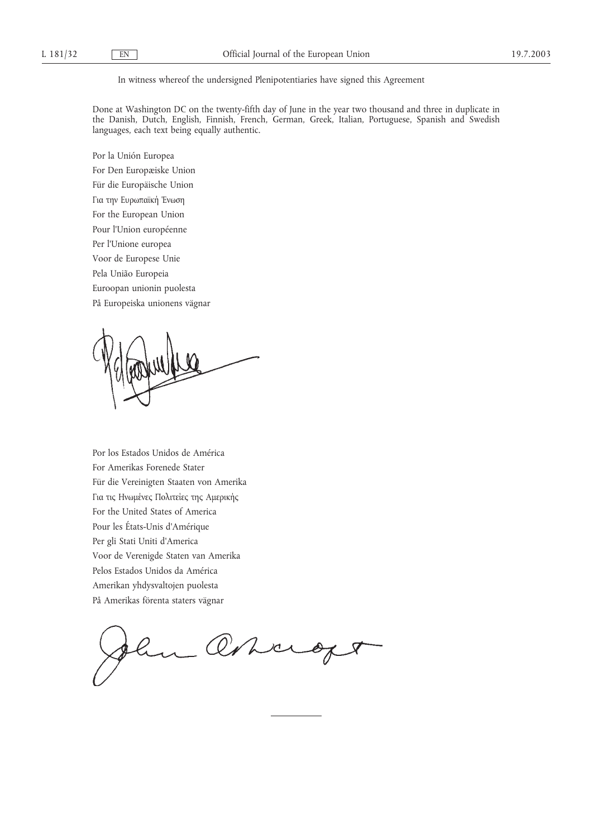In witness whereof the undersigned Plenipotentiaries have signed this Agreement

Done at Washington DC on the twenty-fifth day of June in the year two thousand and three in duplicate in the Danish, Dutch, English, Finnish, French, German, Greek, Italian, Portuguese, Spanish and Swedish languages, each text being equally authentic.

Por la Unión Europea For Den Europæiske Union Für die Europäische Union Για την Ευρωπαϊκή Ένωση For the European Union Pour l'Union européenne Per l'Unione europea Voor de Europese Unie Pela União Europeia Euroopan unionin puolesta På Europeiska unionens vägnar

Por los Estados Unidos de América For Amerikas Forenede Stater Für die Vereinigten Staaten von Amerika Για τις Ηνωµένες Πολιτείες της Αµερικής For the United States of America Pour les États-Unis d'Amérique Per gli Stati Uniti d'America Voor de Verenigde Staten van Amerika Pelos Estados Unidos da América Amerikan yhdysvaltojen puolesta På Amerikas förenta staters vägnar

One